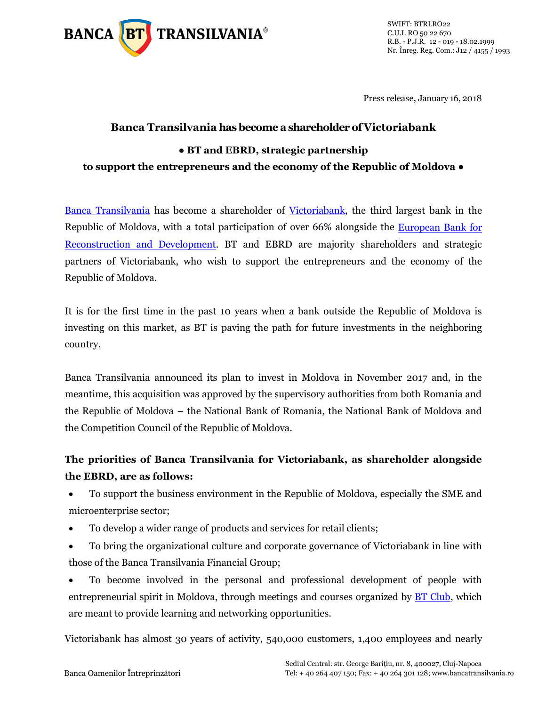

SWIFT: BTRLRO22 C.U.I. RO 50 22 670 R.B. - P.J.R. 12 - 019 - 18.02.1999 Nr. Înreg. Reg. Com.: J12 / 4155 / 1993

Press release, January 16, 2018

## **Banca Transilvania has become a shareholder of Victoriabank ● BT and EBRD, strategic partnership to support the entrepreneurs and the economy of the Republic of Moldova ●**

Banca [Transilvania](https://www.bancatransilvania.ro/) has become a shareholder of [Victoriabank,](http://www.victoriabank.md/) the third largest bank in the Republic of Moldova, with a total participation of over 66% alongside the [European Bank for](http://www.ebrd.com/home)  [Reconstruction and Development.](http://www.ebrd.com/home) BT and EBRD are majority shareholders and strategic partners of Victoriabank, who wish to support the entrepreneurs and the economy of the Republic of Moldova.

It is for the first time in the past 10 years when a bank outside the Republic of Moldova is investing on this market, as BT is paving the path for future investments in the neighboring country.

Banca Transilvania announced its plan to invest in Moldova in November 2017 and, in the meantime, this acquisition was approved by the supervisory authorities from both Romania and the Republic of Moldova – the National Bank of Romania, the National Bank of Moldova and the Competition Council of the Republic of Moldova.

## **The priorities of Banca Transilvania for Victoriabank, as shareholder alongside the EBRD, are as follows:**

- To support the business environment in the Republic of Moldova, especially the SME and microenterprise sector;
- To develop a wider range of products and services for retail clients;
- To bring the organizational culture and corporate governance of Victoriabank in line with those of the Banca Transilvania Financial Group;
- To become involved in the personal and professional development of people with entrepreneurial spirit in Moldova, through meetings and courses organized by **BT Club**, which are meant to provide learning and networking opportunities.

Victoriabank has almost 30 years of activity, 540,000 customers, 1,400 employees and nearly